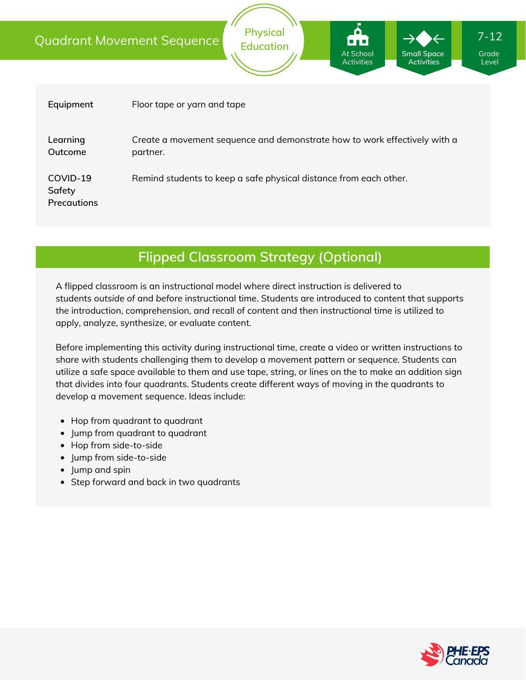|                                          | <b>Physical</b><br>$7 - 12$<br><b>Quadrant Movement Sequence</b><br>iond<br><b>Education</b><br>At School<br><b>Small Space</b><br>Grade<br><b>Activities</b><br><b>Activities</b><br>Level |  |  |  |
|------------------------------------------|---------------------------------------------------------------------------------------------------------------------------------------------------------------------------------------------|--|--|--|
|                                          |                                                                                                                                                                                             |  |  |  |
| Equipment                                | Floor tape or yarn and tape                                                                                                                                                                 |  |  |  |
| Learning<br>Outcome                      | Create a movement sequence and demonstrate how to work effectively with a<br>partner.                                                                                                       |  |  |  |
| COVID-19<br>Safety<br><b>Precautions</b> | Remind students to keep a safe physical distance from each other.                                                                                                                           |  |  |  |

## **Flipped Classroom Strategy (Optional)**

A flipped classroom is an instructional model where direct instruction is delivered to students *outside of* and *before* instructional time. Students are introduced to content that supports the introduction, comprehension, and recall of content and then instructional time is utilized to apply, analyze, synthesize, or evaluate content.

Before implementing this activity during instructional time, create a video or written instructions to share with students challenging them to develop a movement pattern or sequence. Students can utilize a safe space available to them and use tape, string, or lines on the to make an addition sign that divides into four quadrants. Students create different ways of moving in the quadrants to develop a movement sequence. Ideas include:

- Hop from quadrant to quadrant
- Jump from quadrant to quadrant
- Hop from side-to-side
- Jump from side-to-side
- Jump and spin
- Step forward and back in two quadrants

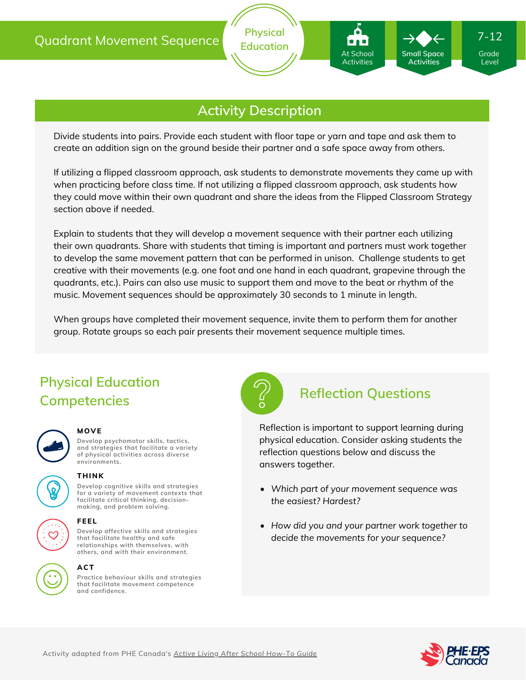

**Physical Education**

Divide students into pairs. Provide each student with floor tape or yarn and tape and ask them to create an addition sign on the ground beside their partner and a safe space away from others.

If utilizing a flipped classroom approach, ask students to demonstrate movements they came up with when practicing before class time. If not utilizing a flipped classroom approach, ask students how they could move within their own quadrant and share the ideas from the Flipped Classroom Strategy section above if needed.

Explain to students that they will develop a movement sequence with their partner each utilizing their own quadrants. Share with students that timing is important and partners must work together to develop the same movement pattern that can be performed in unison. Challenge students to get creative with their movements (e.g. one foot and one hand in each quadrant, grapevine through the quadrants, etc.). Pairs can also use music to support them and move to the beat or rhythm of the music. Movement sequences should be approximately 30 seconds to 1 minute in length.

When groups have completed their movement sequence, invite them to perform them for another group. Rotate groups so each pair presents their movement sequence multiple times.

## **Physical Education Competencies**



#### **MOVE**

**Develop psychomotor skills, tactics, and strategies that facilitate a variety of physical activities across diverse environments.**



### **THINK**

**Develop cognitive skills and strategies for a variety of movement contexts that facilitate critical thinking, decision making, and problem solving.**



# **FEEL**

**Develop affective skills and strategies that facilitate healthy and safe relationships with themselves, with others, and with their environment.**

#### **ACT**

**Practice behaviour skills and strategies that facilitate movement competence and confidence.**



### **Reflection Questions**

At School Activities

**Small Space Activities**

Reflection is important to support learning during physical education. Consider asking students the reflection questions below and discuss the answers together.

- *Which part of your movement sequence was the easiest? Hardest?*
- *How did you and your partner work together to decide the movements for your sequence?*



Grade Level

7-12